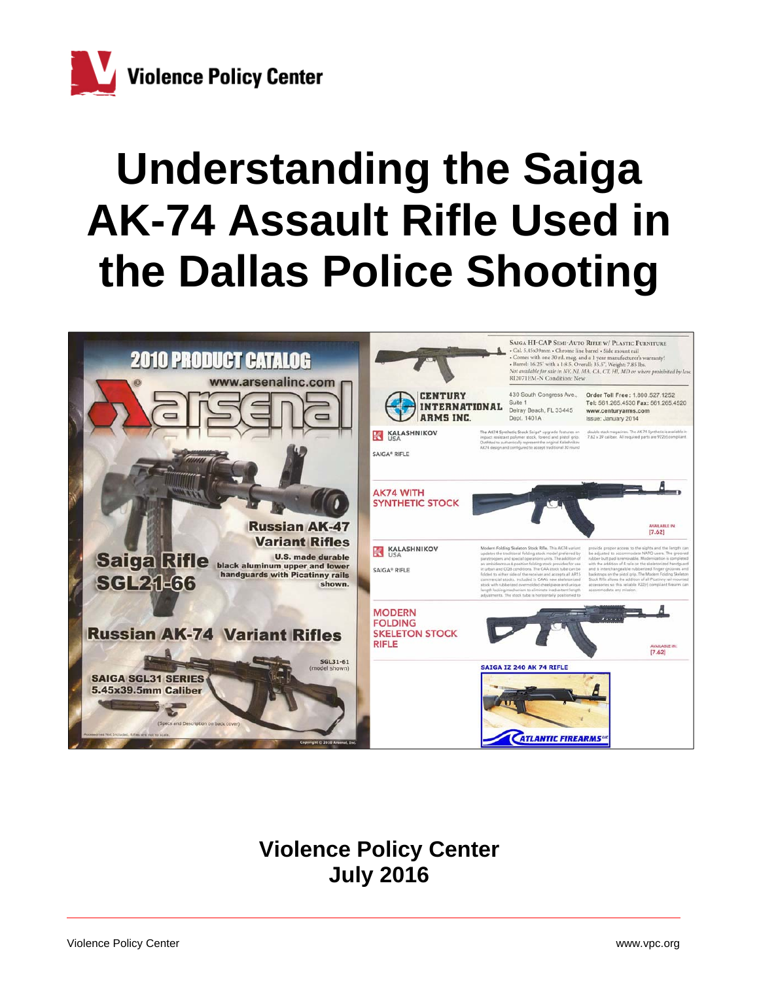

# **Understanding the Saiga AK-74 Assault Rifle Used in the Dallas Police Shooting**



## **Violence Policy Center July 2016**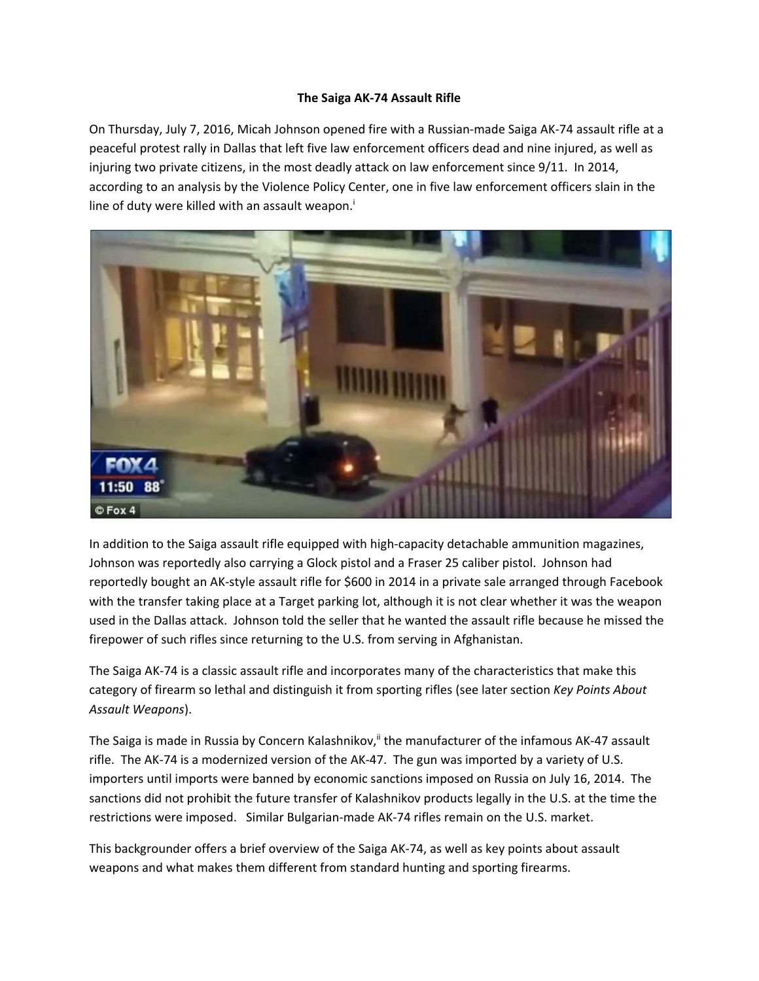### **The Saiga AK‐74 Assault Rifle**

On Thursday, July 7, 2016, Micah Johnson opened fire with a Russian‐made Saiga AK‐74 assault rifle at a peaceful protest rally in Dallas that left five law enforcement officers dead and nine injured, as well as injuring two private citizens, in the most deadly attack on law enforcement since 9/11. In 2014, according to an analysis by the Violence Policy Center, one in five law enforcement officers slain in the line of duty were killed with an assault weapon.<sup>i</sup>



In addition to the Saiga assault rifle equipped with high‐capacity detachable ammunition magazines, Johnson was reportedly also carrying a Glock pistol and a Fraser 25 caliber pistol. Johnson had reportedly bought an AK‐style assault rifle for \$600 in 2014 in a private sale arranged through Facebook with the transfer taking place at a Target parking lot, although it is not clear whether it was the weapon used in the Dallas attack. Johnson told the seller that he wanted the assault rifle because he missed the firepower of such rifles since returning to the U.S. from serving in Afghanistan.

The Saiga AK‐74 is a classic assault rifle and incorporates many of the characteristics that make this category of firearm so lethal and distinguish it from sporting rifles (see later section *Key Points About Assault Weapons*).

The Saiga is made in Russia by Concern Kalashnikov,<sup>ii</sup> the manufacturer of the infamous AK-47 assault rifle. The AK‐74 is a modernized version of the AK‐47. The gun was imported by a variety of U.S. importers until imports were banned by economic sanctions imposed on Russia on July 16, 2014. The sanctions did not prohibit the future transfer of Kalashnikov products legally in the U.S. at the time the restrictions were imposed. Similar Bulgarian-made AK-74 rifles remain on the U.S. market.

This backgrounder offers a brief overview of the Saiga AK‐74, as well as key points about assault weapons and what makes them different from standard hunting and sporting firearms.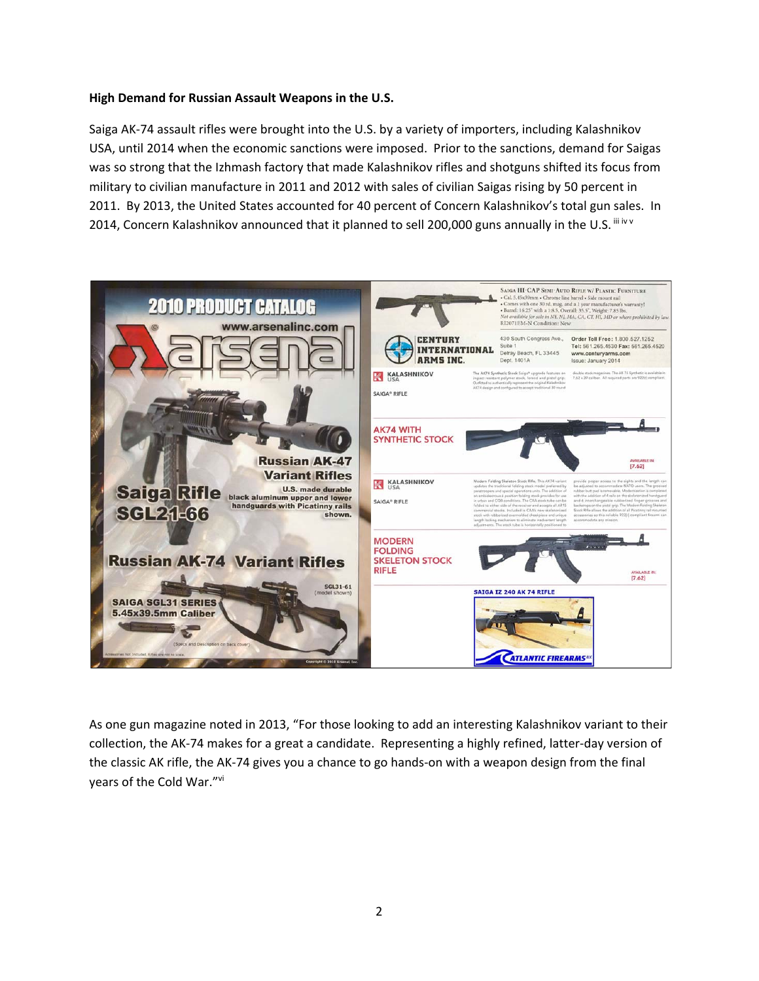#### **High Demand for Russian Assault Weapons in the U.S.**

Saiga AK‐74 assault rifles were brought into the U.S. by a variety of importers, including Kalashnikov USA, until 2014 when the economic sanctions were imposed. Prior to the sanctions, demand for Saigas was so strong that the Izhmash factory that made Kalashnikov rifles and shotguns shifted its focus from military to civilian manufacture in 2011 and 2012 with sales of civilian Saigas rising by 50 percent in 2011. By 2013, the United States accounted for 40 percent of Concern Kalashnikov's total gun sales. In 2014, Concern Kalashnikov announced that it planned to sell 200,000 guns annually in the U.S. iii iv v



As one gun magazine noted in 2013, "For those looking to add an interesting Kalashnikov variant to their collection, the AK‐74 makes for a great a candidate. Representing a highly refined, latter‐day version of the classic AK rifle, the AK‐74 gives you a chance to go hands‐on with a weapon design from the final years of the Cold War."vi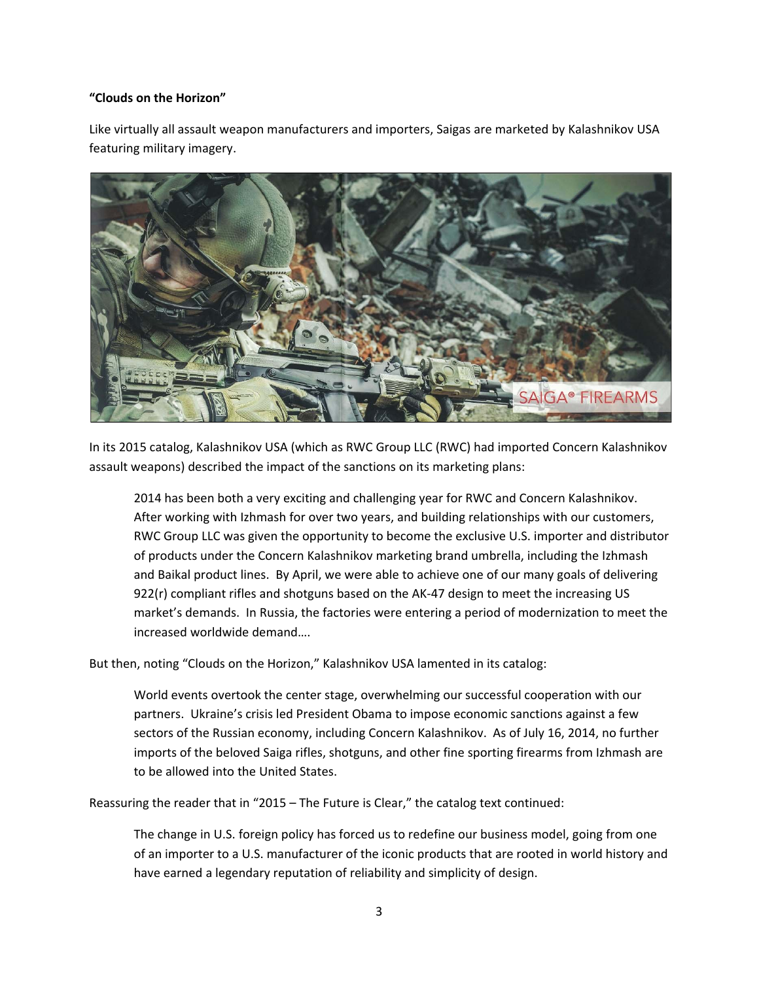#### **"Clouds on the Horizon"**

Like virtually all assault weapon manufacturers and importers, Saigas are marketed by Kalashnikov USA featuring military imagery.



In its 2015 catalog, Kalashnikov USA (which as RWC Group LLC (RWC) had imported Concern Kalashnikov assault weapons) described the impact of the sanctions on its marketing plans:

2014 has been both a very exciting and challenging year for RWC and Concern Kalashnikov. After working with Izhmash for over two years, and building relationships with our customers, RWC Group LLC was given the opportunity to become the exclusive U.S. importer and distributor of products under the Concern Kalashnikov marketing brand umbrella, including the Izhmash and Baikal product lines. By April, we were able to achieve one of our many goals of delivering 922(r) compliant rifles and shotguns based on the AK-47 design to meet the increasing US market's demands. In Russia, the factories were entering a period of modernization to meet the increased worldwide demand….

But then, noting "Clouds on the Horizon," Kalashnikov USA lamented in its catalog:

World events overtook the center stage, overwhelming our successful cooperation with our partners. Ukraine's crisis led President Obama to impose economic sanctions against a few sectors of the Russian economy, including Concern Kalashnikov. As of July 16, 2014, no further imports of the beloved Saiga rifles, shotguns, and other fine sporting firearms from Izhmash are to be allowed into the United States.

Reassuring the reader that in "2015 – The Future is Clear," the catalog text continued:

The change in U.S. foreign policy has forced us to redefine our business model, going from one of an importer to a U.S. manufacturer of the iconic products that are rooted in world history and have earned a legendary reputation of reliability and simplicity of design.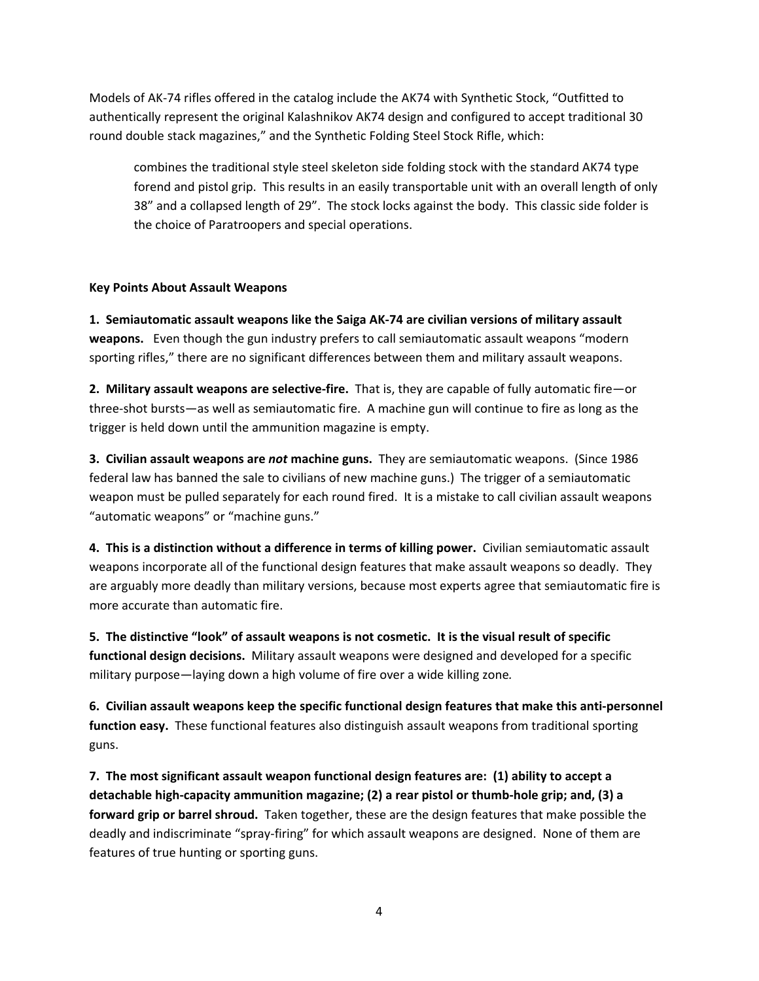Models of AK‐74 rifles offered in the catalog include the AK74 with Synthetic Stock, "Outfitted to authentically represent the original Kalashnikov AK74 design and configured to accept traditional 30 round double stack magazines," and the Synthetic Folding Steel Stock Rifle, which:

combines the traditional style steel skeleton side folding stock with the standard AK74 type forend and pistol grip. This results in an easily transportable unit with an overall length of only 38" and a collapsed length of 29". The stock locks against the body. This classic side folder is the choice of Paratroopers and special operations.

#### **Key Points About Assault Weapons**

**1. Semiautomatic assault weapons like the Saiga AK‐74 are civilian versions of military assault weapons.** Even though the gun industry prefers to call semiautomatic assault weapons "modern sporting rifles," there are no significant differences between them and military assault weapons.

**2. Military assault weapons are selective‐fire.** That is, they are capable of fully automatic fire—or three‐shot bursts—as well as semiautomatic fire. A machine gun will continue to fire as long as the trigger is held down until the ammunition magazine is empty.

**3. Civilian assault weapons are** *not* **machine guns.** They are semiautomatic weapons. (Since 1986 federal law has banned the sale to civilians of new machine guns.) The trigger of a semiautomatic weapon must be pulled separately for each round fired. It is a mistake to call civilian assault weapons "automatic weapons" or "machine guns."

**4. This is a distinction without a difference in terms of killing power.** Civilian semiautomatic assault weapons incorporate all of the functional design features that make assault weapons so deadly. They are arguably more deadly than military versions, because most experts agree that semiautomatic fire is more accurate than automatic fire.

5. The distinctive "look" of assault weapons is not cosmetic. It is the visual result of specific **functional design decisions.** Military assault weapons were designed and developed for a specific military purpose—laying down a high volume of fire over a wide killing zone*.*

**6. Civilian assault weapons keep the specific functional design features that make this anti‐personnel function easy.** These functional features also distinguish assault weapons from traditional sporting guns.

**7. The most significant assault weapon functional design features are: (1) ability to accept a detachable high‐capacity ammunition magazine; (2) a rear pistol or thumb‐hole grip; and, (3) a forward grip or barrel shroud.** Taken together, these are the design features that make possible the deadly and indiscriminate "spray‐firing" for which assault weapons are designed. None of them are features of true hunting or sporting guns.